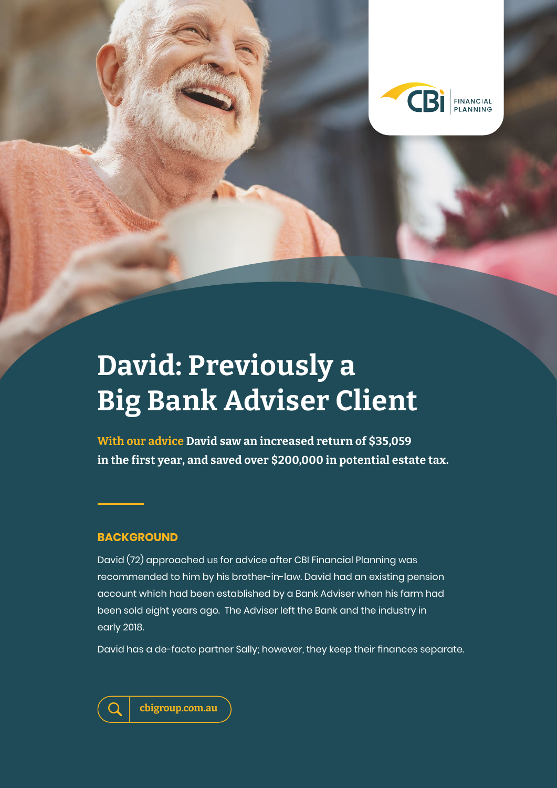

# **David: Previously a Big Bank Adviser Client**

**With our advice David saw an increased return of \$35,059 in the first year, and saved over \$200,000 in potential estate tax.** 

## **BACKGROUND**

David (72) approached us for advice after CBI Financial Planning was recommended to him by his brother-in-law. David had an existing pension account which had been established by a Bank Adviser when his farm had been sold eight years ago. The Adviser left the Bank and the industry in early 2018.

David has a de-facto partner Sally; however, they keep their finances separate.

**cbigroup.com.au**